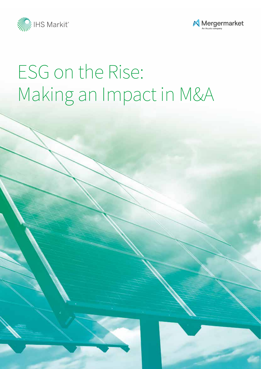



# ESG on the Rise: Making an Impact in M&A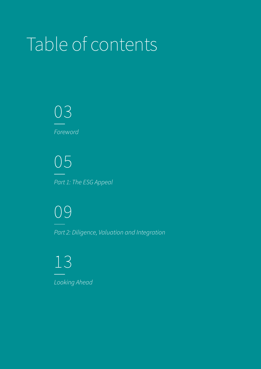# Table of contents

03 *Foreword*

05 *Part 1: The ESG Appeal*

09 *Part 2: Diligence, Valuation and Integration*

13 *Looking Ahead*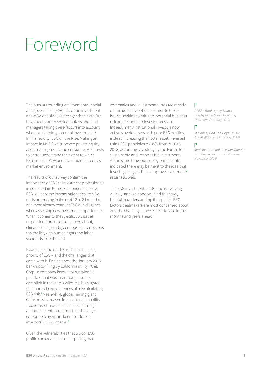## Foreword

The buzz surrounding environmental, social and governance (ESG) factors in investment and M&A decisions is stronger than ever. But how exactly are M&A dealmakers and fund managers taking these factors into account when considering potential investments? In this report, "ESG on the Rise: Making an Impact in M&A," we surveyed private equity, asset management, and corporate executives to better understand the extent to which ESG impacts M&A and investment in today's market environment.

The results of our survey confirm the importance of ESG to investment professionals in no uncertain terms. Respondents believe ESG will become increasingly critical to M&A decision-making in the next 12 to 24 months, and most already conduct ESG due diligence when assessing new investment opportunities. When it comes to the specific ESG issues respondents are most concerned about, climate change and greenhouse gas emissions top the list, with human rights and labor standards close behind.

Evidence in the market reflects this rising priority of ESG – and the challenges that come with it. For instance, the January 2019 bankruptcy filing by California utility PG&E Corp., a company known for sustainable practices that was later thought to be complicit in the state's wildfires, highlighted the financial consequences of miscalculating ESG risk.**<sup>1</sup>**Meanwhile, global mining giant Glencore's increased focus on sustainability – advertised in detail in its latest earnings announcement – confirms that the largest corporate players are keen to address investors' ESG concerns.**<sup>2</sup>**

Given the vulnerabilities that a poor ESG profile can create, it is unsurprising that

companies and investment funds are mostly on the defensive when it comes to these issues, seeking to mitigate potential business risk and respond to investor pressure. Indeed, many institutional investors now actively avoid assets with poor ESG profiles, instead increasing their total assets invested using ESG principles by 38% from 2016 to 2018, according to a study by the Forum for Sustainable and Responsible Investment. At the same time, our survey participants indicated there may be merit to the idea that investing for "good" can improve investment **<sup>3</sup>** returns as well.

The ESG investment landscape is evolving quickly, and we hope you find this study helpful in understanding the specific ESG factors dealmakers are most concerned about and the challenges they expect to face in the months and years ahead.

#### |**1**

*PG&E's Bankruptcy Shows Blindspots in Green Investing (WSJ.com; February 2019)*

#### |**2**

*In Mining, Can Bad Boys Still Be Good? (WSJ.com; February 2019)*

#### |**3**

*More Institutional Investors Say No to Tobacco, Weapons (WSJ.com; November 2018)*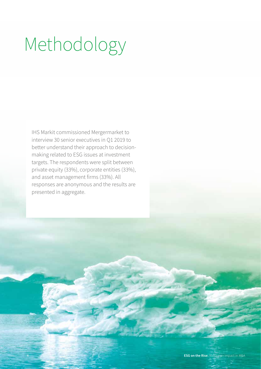# Methodology

IHS Markit commissioned Mergermarket to interview 30 senior executives in Q1 2019 to better understand their approach to decisionmaking related to ESG issues at investment targets. The respondents were split between private equity (33%), corporate entities (33%), and asset management firms (33%). All responses are anonymous and the results are presented in aggregate.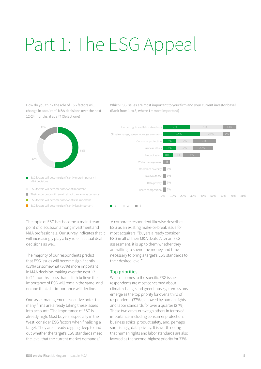# Part 1: The ESG Appeal

How do you think the role of ESG factors will change in acquirers' M&A decisions over the next 12-24 months, if at all? (Select one)



- ESG factors will become significantly more important in П M&A decisions
- ESG factors will become somewhat important
- Their importance will remain about the same as currently
- ESG factors will become somewhat less important  $\overline{\phantom{0}}$
- ESG factors will become significantly less important  $\begin{array}{ccc} \blacksquare & 1 & \blacksquare & 2 & \blacksquare & 3 \end{array}$

Which ESG issues are most important to your firm and your current investor base? (Rank from 1 to 3, where 1 = most important)



The topic of ESG has become a mainstream point of discussion among investment and M&A professionals. Our survey indicates that it will increasingly play a key role in actual deal decisions as well.

The majority of our respondents predict that ESG issues will become significantly (53%) or somewhat (30%) more important in M&A decision-making over the next 12 to 24 months . Less than a fifth believe the importance of ESG will remain the same, and no one thinks its importance will decline.

One asset management executive notes that many firms are already taking these issues into account: "The importance of ESG is already high. Most buyers, especially in the West, consider ESG factors when finalizing a target. They are already digging deep to find out whether the target's ESG standards meet the level that the current market demands."

 A corporate respondent likewise describes ESG as an existing make-or-break issue for most acquirers: "Buyers already consider ESG in all of their M&A deals. After an ESG assessment, it is up to them whether they are willing to spend the money and time necessary to bring a target's ESG standards to their desired level."

#### Top priorities

When it comes to the specific ESG issues respondents are most concerned about, climate change and greenhouse gas emissions emerge as the top priority for over a third of respondents (37%), followed by human rights and labor standards for over a quarter (27%). These two areas outweigh others in terms of importance, including consumer protection, business ethics, product safety, and, perhaps surprisingly, data privacy. It is worth noting that human rights and labor standards are also favored as the second-highest priority for 33%.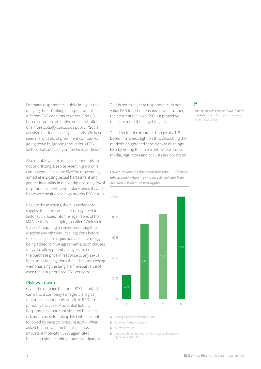For many respondents, public image is the unifying thread linking this spectrum of different ESG concerns together. One USbased corporate executive notes the influence of a more socially conscious public: "Social activism has increased significantly. We have seen many cases of prominent companies going down by ignoring the various ESG factors that such activism seeks to address."

Also notable are the issues respondents are not prioritizing. Despite recent high-profile campaigns such as the #MeToo movement, aimed at exposing sexual harassment and gender inequality in the workplace, only 3% of respondents identify workplace diversity and board composition as high priority ESG issues.

Despite these results, there is evidence to suggest that firms will increasingly need to factor such issues into the legal fabric of their M&A deals. For example, so-called "Weinstein Clauses" requiring an investment target to disclose any misconduct allegations before the closing of an acquisition are increasingly being added to M&A agreements. Such clauses may also allow potential buyers to reduce the purchase price in response to any sexual harassments allegations that arise post-closing – emphasizing the tangible financial value of even the less-prioritized ESG concerns. **<sup>4</sup>**

#### Risk vs. reward

Given the damage that poor ESG standards can do to a company's image, it is logical that most respondents prioritize ESG issues primarily because of potential liability. Respondents unanimously cited business risk as a reason for taking ESG into account, followed by investor pressure (83%). When asked to narrow in on the single most important motivator, 67% again cited business risks, including potential litigation.

This is not to say that respondents do not value ESG for other reasons as well – rather, their current focus on ESG is a protective measure more than anything else.

The director of corporate strategy at a USbased firm sheds light on this, describing the market's heightened sensitivity to all things ESG by noting that in a world where "social media, regulators and activists are always on

For which reasons does your firm take ESG factors into account when making investment and M&A decisions? (Select all that apply)



|**4**

*The 'Weinstein Clause': M&A deals in the #MeToo era (Compliance week; October 12, 2018)*

A Seeking higher investment returns

- **B** Part of our firm's philosophy
- Investor pressure **C**

**D** Concerns about business risk (e.g., potential litigation, reputational risk, etc.)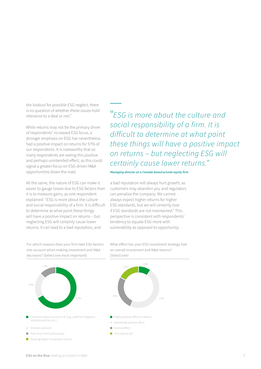the lookout for possible ESG neglect, there is no question of whether these issues hold relevance to a deal or not."

While returns may not be the primary driver of respondents' increased ESG focus, a stronger emphasis on ESG has nevertheless had a positive impact on returns for 57% of our respondents. It is noteworthy that so many respondents are seeing this positive and perhaps unintended effect, as this could signal a greater focus on ESG-driven M&A opportunities down the road.

All the same, the nature of ESG can make it easier to gauge losses due to ESG factors than it is to measure gains, as one respondent explained: "ESG is more about the culture and social responsibility of a firm. It is difficult to determine at what point these things will have a positive impact on returns – but neglecting ESG will certainly cause lower returns. It can lead to a bad reputation, and

For which reasons does your firm take ESG factors into account when making investment and M&A decisions? (Select one most important)



**Seeking higher investment returns** 

*ESG is more about the culture and social responsibility of a firm. It is difficult to determine at what point these things will have a positive impact on returns – but neglecting ESG will certainly cause lower returns."*

*Managing director at a Canada-based private equity firm*

a bad reputation will always hurt growth, as customers may abandon you and regulators can penalize the company. We cannot always expect higher returns for higher ESG standards, but we will certainly lose if ESG standards are not maintained." This perspective is consistent with respondents' tendency to equate ESG more with vulnerability as opposed to opportunity.

What effect has your ESG investment strategy had on overall investment and M&A returns? (Select one)

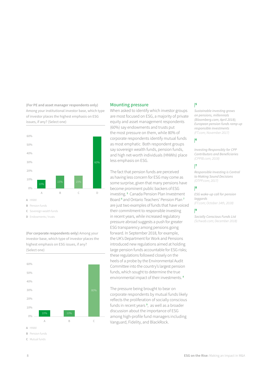**(For PE and asset manager respondents only)**  Among your institutional investor base, which type of investor places the highest emphasis on ESG issues, if any? (Select one)



**D** Endowments / trusts

**(For corporate respondents only)** Among your investor base, which type of investor places the highest emphasis on ESG issues, if any? (Select one)



- **B** Pension funds
- Mutual funds **C**

#### Mounting pressure

When asked to identify which investor groups are most focused on ESG, a majority of private equity and asset management respondents (60%) say endowments and trusts put the most pressure on them, while 80% of corporate respondents identify mutual funds as most emphatic. Both respondent groups say sovereign wealth funds, pension funds, and high net-worth individuals (HNWIs) place less emphasis on ESG.

The fact that pension funds are perceived as having less concern for ESG may come as some surprise, given that many pensions have become prominent public backers of ESG investing. **<sup>5</sup>** Canada Pension Plan Investment Board **<sup>6</sup>** and Ontario Teachers' Pension Plan **<sup>7</sup>** are just two examples of funds that have voiced their commitment to responsible investing in recent years, while increased regulatory pressure abroad suggests a push for greater ESG transparency among pensions going forward. In September 2018, for example, the UK's Department for Work and Pensions introduced new regulations aimed at holding large pension funds accountable for ESG risks; these regulations followed closely on the heels of a probe by the Environmental Audit Committee into the country's largest pension funds, which sought to determine the true environmental impact of their investments. **<sup>8</sup>**

The pressure being brought to bear on corporate respondents by mutual funds likely reflects the proliferation of socially conscious funds in recent years **<sup>9</sup>** , as well as a broader discussion about the importance of ESG among high-profile fund managers including Vanguard, Fidelity, and BlackRock.

#### |**5**

*Sustainable investing grows on pensions, millennials (Bloomberg.com; April 2018); European pension funds ramp up responsible investments (FT.com; November 2017)* 

#### |**6**

*Investing Responsibly for CPP Contributors and Beneficiaries (CPPIB.com; 2018)* 

#### |**7**

*Responsible Investing is Central to Making Sound Decisions (OTPP.com; 2017)* 

#### |**8**

*ESG wake-up call for pension laggards (FT.com; October 14th, 2018)*

#### |**9**

*Socially Conscious Funds List (Schwab.com; December 2018)*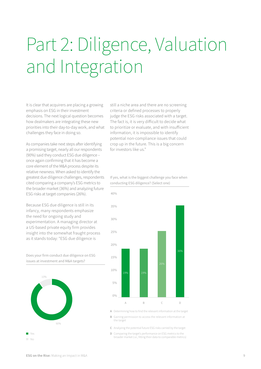# Part 2: Diligence, Valuation and Integration

It is clear that acquirers are placing a growing emphasis on ESG in their investment decisions. The next logical question becomes how dealmakers are integrating these new priorities into their day-to-day work, and what challenges they face in doing so.

As companies take next steps after identifying a promising target, nearly all our respondents (90%) said they conduct ESG due diligence – once again confirming that it has become a core element of the M&A process despite its relative newness. When asked to identify the greatest due diligence challenges, respondents cited comparing a company's ESG metrics to the broader market (36%) and analyzing future ESG risks at target companies (26%).

Because ESG due diligence is still in its infancy, many respondents emphasize the need for ongoing study and experimentation. A managing director at a US-based private equity firm provides insight into the somewhat fraught process as it stands today: "ESG due diligence is

Does your firm conduct due diligence on ESG issues at investment and M&A targets?



still a niche area and there are no screening criteria or defined processes to properly judge the ESG risks associated with a target. The fact is, it is very difficult to decide what to prioritize or evaluate, and with insufficient information, it is impossible to identify potential non-compliance issues that could crop up in the future. This is a big concern for investors like us."

#### If yes, what is the biggest challenge you face when conducting ESG diligence? (Select one)



Determining how to find the relevant information at the target **A**

Gaining permission to access the relevant information at **B** the target

Analyzing the potential future ESG risks carried by the target **C**

Comparing the target's performance on ESG metrics to the **D** Comparing the target's performance on ESG metrics to the<br>broader market (i.e., fitting their data to comparable metrics)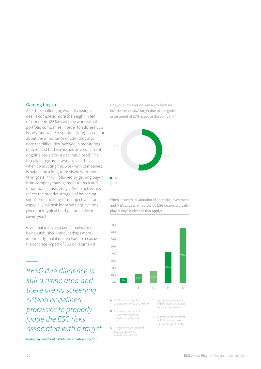#### Gaining buy-in

After the challenging work of closing a deal is complete, more than eight in ten respondents (83%) said they work with their portfolio companies in order to address ESG issues. And while respondents largely concur about the importance of ESG, they also note the difficulties involved in monitoring data related to these issues on a consistent, ongoing basis after a deal has closed. The top challenge asset owners said they face when conducting this work with companies is balancing a long-term vision with shortterm goals (44%), followed by gaining buy-in from company management to track and report data consistently (40%). Such issues reflect the broader struggle of balancing short-term and long-term objectives – an especially tall task for private equity firms, given their typical hold period of five to seven years.

Given that many ESG benchmarks are still being established – and, perhaps more importantly, that it is often hard to measure the concrete impact of ESG on returns – it

*ESG due diligence is still a niche area and there are no screening criteria or defined processes to properly judge the ESG risks associated with a target."*

*Managing director at a US-based private equity firm*

Has your firm ever walked away from an investment or M&A target due to a negative assessment of ESG issues at the company?



When it comes to valuation of potential investment and M&A targets, what role do ESG factors typically play, if any? (Select all that apply)



- **A** ESG factors rarely affect valuation one way or the other
- **B** A positive assessment of ESG factors increases valuation significantly
- **C** A negative assessment of ESG factors lowers valuation somewhat
- **D** A positive assessment of ESG factors increases valuation somewhat
- **E** A negative assessment of ESG factors lowers valuation significantly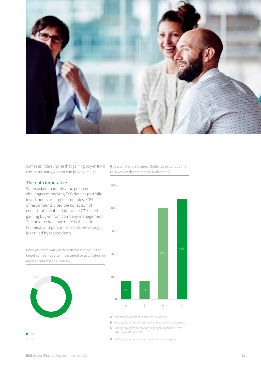

comes as little surprise that gaining buy-in from company management can prove difficult.

#### The data imperative

When asked to identify the greatest challenges of tracking ESG data at portfolio investments or target companies, 43% of respondents cited the collection of consistent, reliable data, while 27% cited gaining buy-in from company management. The buy-in challenge reflects the various technical and personnel issues previously identified by respondents.

Does your firm work with portfolio companies or target companies after investment or acquisition in order to address ESG issues?



If yes, what is the biggest challenge in conducting this work with companies? (Select one)



Allocating investment to address ESG issues **A**

**B** Meeting deadlines for conducting necessary improvements

Gaining buy-in from company management to track and **C** Gaining buy-in from cor<br>report data consistently

**D** Balancing a long-term vision with shorter-term goals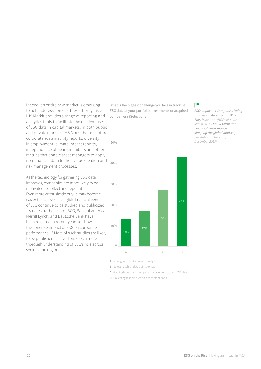Indeed, an entire new market is emerging to help address some of these thorny tasks. IHS Markit provides a range of reporting and analytics tools to facilitate the efficient use of ESG data in capital markets. In both public and private markets, IHS Markit helps capture corporate sustainability reports, diversity in employment, climate impact reports, independence of board members and other metrics that enable asset managers to apply non-financial data to their value creation and risk management processes.

As the technology for gathering ESG data improves, companies are more likely to be motivated to collect and report it. Even more enthusiastic buy-in may become easier to achieve as tangible financial benefits of ESG continue to be studied and publicized – studies by the likes of BCG, Bank of America Merrill Lynch, and Deutsche Bank have been released in recent years to showcase the concrete impact of ESG on corporate performance. **<sup>10</sup>** More of such studies are likely to be published as investors seek a more thorough understanding of ESG's role across sectors and regions.

What is the biggest challenge you face in tracking ESG data at your portfolio investments or acquired companies? (Select one)



#### |**10**

*ESG: Impact on Companies Doing Business in America and Why They Must Care (BOFAML.com; March 2018); ESG & Corporate Financial Performance: Mapping the global landscape (institutional.dws.com; December 2015)*

- Managing data storage and analysis **A**
- **B** Selecting which data points to track
- Gaining buy-in from company management to track ESG data **C**
- **D** Collecting reliable data on a consistent basis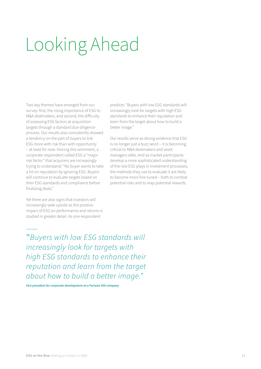# Looking Ahead

Two key themes have emerged from our survey: first, the rising importance of ESG to M&A dealmakers, and second, the difficulty of assessing ESG factors at acquisition targets through a standard due diligence process. Our results also consistently showed a tendency on the part of buyers to link ESG more with risk than with opportunity – at least for now. Voicing this sentiment, a corporate respondent called ESG a "major risk factor" that acquirers are increasingly trying to understand: "No buyer wants to take a hit on reputation by ignoring ESG. Buyers will continue to evaluate targets based on their ESG standards and compliance before finalizing deals."

Yet there are also signs that investors will increasingly seek upside as the positive impact of ESG on performance and returns is studied in greater detail. As one respondent

predicts: "Buyers with low ESG standards will increasingly look for targets with high ESG standards to enhance their reputation and learn from the target about how to build a better image."

Our results serve as strong evidence that ESG is no longer just a buzz word – it is becoming critical to M&A dealmakers and asset managers alike. And as market participants develop a more sophisticated understanding of the role ESG plays in investment processes, the methods they use to evaluate it are likely to become more fine-tuned – both to combat potential risks and to reap potential rewards.

*Buyers with low ESG standards will increasingly look for targets with high ESG standards to enhance their reputation and learn from the target about how to build a better image."*

*Vice president for corporate development at a Fortune 500 company*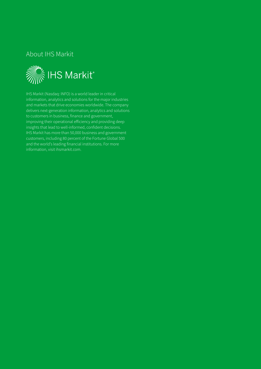### About IHS Markit



IHS Markit (Nasdaq: INFO) is a world leader in critical information, analytics and solutions for the major industries and markets that drive economies worldwide. The company delivers next-generation information, analytics and solutions to customers in business, finance and government, improving their operational efficiency and providing deep insights that lead to well-informed, confident decisions. IHS Markit has more than 50,000 business and government customers, including 80 percent of the Fortune Global 500 and the world's leading financial institutions. For more information, visit ihsmarkit.com.